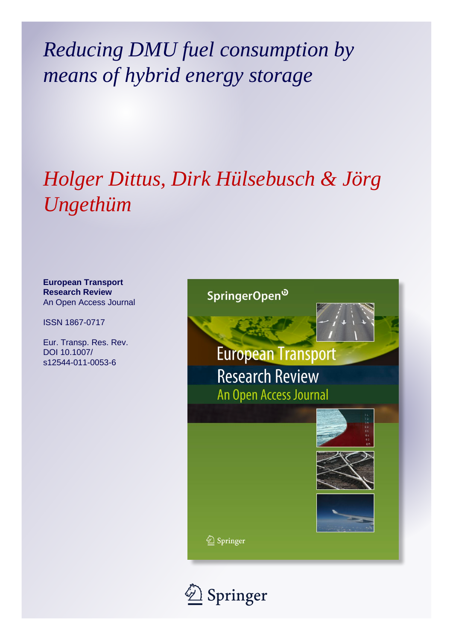*Reducing DMU fuel consumption by means of hybrid energy storage*

# *Holger Dittus, Dirk Hülsebusch & Jörg Ungethüm*

**European Transport Research Review** An Open Access Journal

ISSN 1867-0717

Eur. Transp. Res. Rev. DOI 10.1007/ s12544-011-0053-6



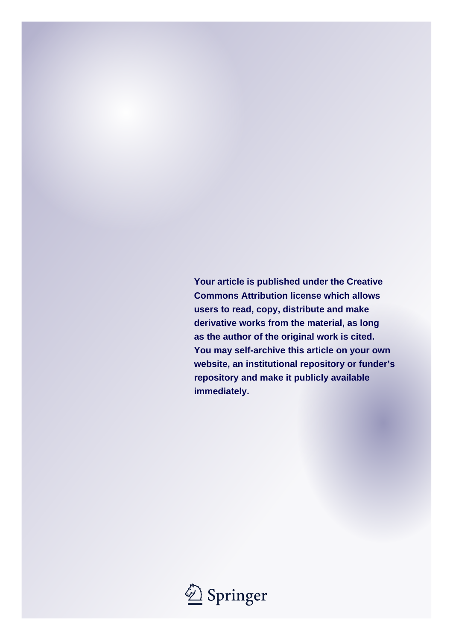**Your article is published under the Creative Commons Attribution license which allows users to read, copy, distribute and make derivative works from the material, as long as the author of the original work is cited. You may self-archive this article on your own website, an institutional repository or funder's repository and make it publicly available immediately.**

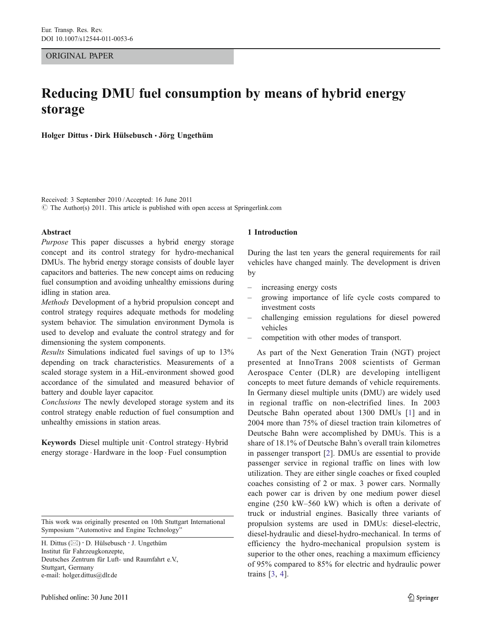ORIGINAL PAPER

# Reducing DMU fuel consumption by means of hybrid energy storage

Holger Dittus · Dirk Hülsebusch · Jörg Ungethüm

Received: 3 September 2010 /Accepted: 16 June 2011  $\circled{c}$  The Author(s) 2011. This article is published with open access at Springerlink.com

#### Abstract

Purpose This paper discusses a hybrid energy storage concept and its control strategy for hydro-mechanical DMUs. The hybrid energy storage consists of double layer capacitors and batteries. The new concept aims on reducing fuel consumption and avoiding unhealthy emissions during idling in station area.

Methods Development of a hybrid propulsion concept and control strategy requires adequate methods for modeling system behavior. The simulation environment Dymola is used to develop and evaluate the control strategy and for dimensioning the system components.

Results Simulations indicated fuel savings of up to 13% depending on track characteristics. Measurements of a scaled storage system in a HiL-environment showed good accordance of the simulated and measured behavior of battery and double layer capacitor.

Conclusions The newly developed storage system and its control strategy enable reduction of fuel consumption and unhealthy emissions in station areas.

Keywords Diesel multiple unit . Control strategy. Hybrid energy storage . Hardware in the loop . Fuel consumption

This work was originally presented on 10th Stuttgart International Symposium "Automotive and Engine Technology"

H. Dittus (⊠) · D. Hülsebusch · J. Ungethüm Institut für Fahrzeugkonzepte, Deutsches Zentrum für Luft- und Raumfahrt e.V., Stuttgart, Germany e-mail: holger.dittus@dlr.de

#### 1 Introduction

During the last ten years the general requirements for rail vehicles have changed mainly. The development is driven by

- increasing energy costs
- growing importance of life cycle costs compared to investment costs
- challenging emission regulations for diesel powered vehicles
- competition with other modes of transport.

As part of the Next Generation Train (NGT) project presented at InnoTrans 2008 scientists of German Aerospace Center (DLR) are developing intelligent concepts to meet future demands of vehicle requirements. In Germany diesel multiple units (DMU) are widely used in regional traffic on non-electrified lines. In 2003 Deutsche Bahn operated about 1300 DMUs [\[1\]](#page-11-0) and in 2004 more than 75% of diesel traction train kilometres of Deutsche Bahn were accomplished by DMUs. This is a share of 18.1% of Deutsche Bahn's overall train kilometres in passenger transport [\[2](#page-11-0)]. DMUs are essential to provide passenger service in regional traffic on lines with low utilization. They are either single coaches or fixed coupled coaches consisting of 2 or max. 3 power cars. Normally each power car is driven by one medium power diesel engine (250 kW–560 kW) which is often a derivate of truck or industrial engines. Basically three variants of propulsion systems are used in DMUs: diesel-electric, diesel-hydraulic and diesel-hydro-mechanical. In terms of efficiency the hydro-mechanical propulsion system is superior to the other ones, reaching a maximum efficiency of 95% compared to 85% for electric and hydraulic power trains [[3](#page-11-0), [4](#page-11-0)].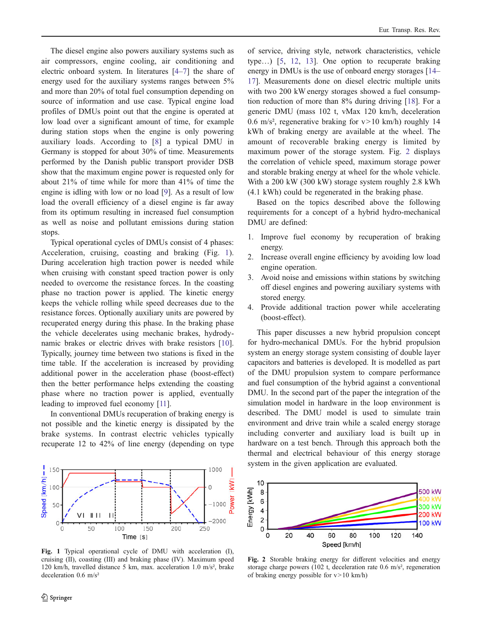The diesel engine also powers auxiliary systems such as air compressors, engine cooling, air conditioning and electric onboard system. In literatures [\[4](#page-11-0)–[7](#page-11-0)] the share of energy used for the auxiliary systems ranges between 5% and more than 20% of total fuel consumption depending on source of information and use case. Typical engine load profiles of DMUs point out that the engine is operated at low load over a significant amount of time, for example during station stops when the engine is only powering auxiliary loads. According to [\[8](#page-11-0)] a typical DMU in Germany is stopped for about 30% of time. Measurements performed by the Danish public transport provider DSB show that the maximum engine power is requested only for about 21% of time while for more than 41% of time the engine is idling with low or no load [[9\]](#page-11-0). As a result of low load the overall efficiency of a diesel engine is far away from its optimum resulting in increased fuel consumption as well as noise and pollutant emissions during station stops.

Typical operational cycles of DMUs consist of 4 phases: Acceleration, cruising, coasting and braking (Fig. 1). During acceleration high traction power is needed while when cruising with constant speed traction power is only needed to overcome the resistance forces. In the coasting phase no traction power is applied. The kinetic energy keeps the vehicle rolling while speed decreases due to the resistance forces. Optionally auxiliary units are powered by recuperated energy during this phase. In the braking phase the vehicle decelerates using mechanic brakes, hydrodynamic brakes or electric drives with brake resistors [\[10](#page-11-0)]. Typically, journey time between two stations is fixed in the time table. If the acceleration is increased by providing additional power in the acceleration phase (boost-effect) then the better performance helps extending the coasting phase where no traction power is applied, eventually leading to improved fuel economy [\[11](#page-11-0)].

In conventional DMUs recuperation of braking energy is not possible and the kinetic energy is dissipated by the brake systems. In contrast electric vehicles typically recuperate 12 to 42% of line energy (depending on type



Fig. 1 Typical operational cycle of DMU with acceleration (I), cruising (II), coasting (III) and braking phase (IV). Maximum speed 120 km/h, travelled distance 5 km, max. acceleration 1.0 m/s², brake deceleration  $0.6 \text{ m/s}^2$ 

of service, driving style, network characteristics, vehicle type…) [[5,](#page-11-0) [12](#page-11-0), [13\]](#page-11-0). One option to recuperate braking energy in DMUs is the use of onboard energy storages [\[14](#page-11-0)– [17](#page-12-0)]. Measurements done on diesel electric multiple units with two 200 kW energy storages showed a fuel consumption reduction of more than 8% during driving [\[18](#page-12-0)]. For a generic DMU (mass 102 t, vMax 120 km/h, deceleration 0.6 m/s<sup>2</sup>, regenerative braking for  $v > 10$  km/h) roughly 14 kWh of braking energy are available at the wheel. The amount of recoverable braking energy is limited by maximum power of the storage system. Fig. 2 displays the correlation of vehicle speed, maximum storage power and storable braking energy at wheel for the whole vehicle. With a 200 kW (300 kW) storage system roughly 2.8 kWh (4.1 kWh) could be regenerated in the braking phase.

Based on the topics described above the following requirements for a concept of a hybrid hydro-mechanical DMU are defined:

- 1. Improve fuel economy by recuperation of braking energy.
- 2. Increase overall engine efficiency by avoiding low load engine operation.
- 3. Avoid noise and emissions within stations by switching off diesel engines and powering auxiliary systems with stored energy.
- 4. Provide additional traction power while accelerating (boost-effect).

This paper discusses a new hybrid propulsion concept for hydro-mechanical DMUs. For the hybrid propulsion system an energy storage system consisting of double layer capacitors and batteries is developed. It is modelled as part of the DMU propulsion system to compare performance and fuel consumption of the hybrid against a conventional DMU. In the second part of the paper the integration of the simulation model in hardware in the loop environment is described. The DMU model is used to simulate train environment and drive train while a scaled energy storage including converter and auxiliary load is built up in hardware on a test bench. Through this approach both the thermal and electrical behaviour of this energy storage system in the given application are evaluated.



Fig. 2 Storable braking energy for different velocities and energy storage charge powers (102 t, deceleration rate 0.6 m/s², regeneration of braking energy possible for v>10 km/h)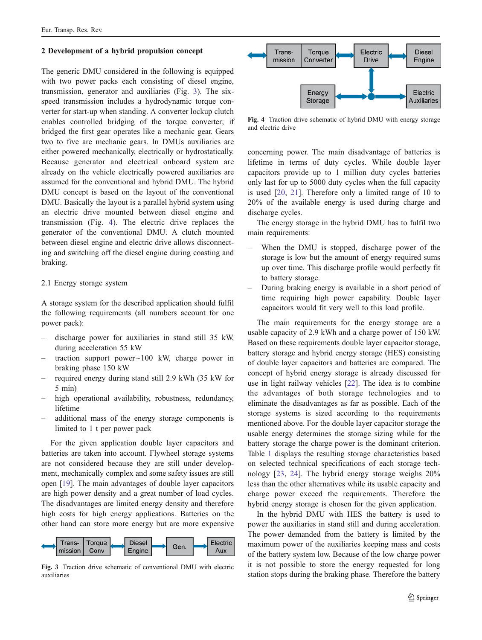#### 2 Development of a hybrid propulsion concept

The generic DMU considered in the following is equipped with two power packs each consisting of diesel engine, transmission, generator and auxiliaries (Fig. 3). The sixspeed transmission includes a hydrodynamic torque converter for start-up when standing. A converter lockup clutch enables controlled bridging of the torque converter; if bridged the first gear operates like a mechanic gear. Gears two to five are mechanic gears. In DMUs auxiliaries are either powered mechanically, electrically or hydrostatically. Because generator and electrical onboard system are already on the vehicle electrically powered auxiliaries are assumed for the conventional and hybrid DMU. The hybrid DMU concept is based on the layout of the conventional DMU. Basically the layout is a parallel hybrid system using an electric drive mounted between diesel engine and transmission (Fig. 4). The electric drive replaces the generator of the conventional DMU. A clutch mounted between diesel engine and electric drive allows disconnecting and switching off the diesel engine during coasting and braking.

#### 2.1 Energy storage system

A storage system for the described application should fulfil the following requirements (all numbers account for one power pack):

- discharge power for auxiliaries in stand still 35 kW, during acceleration 55 kW
- traction support power $\sim$ 100 kW, charge power in braking phase 150 kW
- required energy during stand still 2.9 kWh (35 kW for 5 min)
- high operational availability, robustness, redundancy, lifetime
- additional mass of the energy storage components is limited to 1 t per power pack

For the given application double layer capacitors and batteries are taken into account. Flywheel storage systems are not considered because they are still under development, mechanically complex and some safety issues are still open [[19\]](#page-12-0). The main advantages of double layer capacitors are high power density and a great number of load cycles. The disadvantages are limited energy density and therefore high costs for high energy applications. Batteries on the other hand can store more energy but are more expensive



Fig. 3 Traction drive schematic of conventional DMU with electric auxiliaries



Fig. 4 Traction drive schematic of hybrid DMU with energy storage and electric drive

concerning power. The main disadvantage of batteries is lifetime in terms of duty cycles. While double layer capacitors provide up to 1 million duty cycles batteries only last for up to 5000 duty cycles when the full capacity is used [\[20](#page-12-0), [21\]](#page-12-0). Therefore only a limited range of 10 to 20% of the available energy is used during charge and discharge cycles.

The energy storage in the hybrid DMU has to fulfil two main requirements:

- When the DMU is stopped, discharge power of the storage is low but the amount of energy required sums up over time. This discharge profile would perfectly fit to battery storage.
- During braking energy is available in a short period of time requiring high power capability. Double layer capacitors would fit very well to this load profile.

The main requirements for the energy storage are a usable capacity of 2.9 kWh and a charge power of 150 kW. Based on these requirements double layer capacitor storage, battery storage and hybrid energy storage (HES) consisting of double layer capacitors and batteries are compared. The concept of hybrid energy storage is already discussed for use in light railway vehicles [\[22](#page-12-0)]. The idea is to combine the advantages of both storage technologies and to eliminate the disadvantages as far as possible. Each of the storage systems is sized according to the requirements mentioned above. For the double layer capacitor storage the usable energy determines the storage sizing while for the battery storage the charge power is the dominant criterion. Table [1](#page-5-0) displays the resulting storage characteristics based on selected technical specifications of each storage technology [[23,](#page-12-0) [24\]](#page-12-0). The hybrid energy storage weighs 20% less than the other alternatives while its usable capacity and charge power exceed the requirements. Therefore the hybrid energy storage is chosen for the given application.

In the hybrid DMU with HES the battery is used to power the auxiliaries in stand still and during acceleration. The power demanded from the battery is limited by the maximum power of the auxiliaries keeping mass and costs of the battery system low. Because of the low charge power it is not possible to store the energy requested for long station stops during the braking phase. Therefore the battery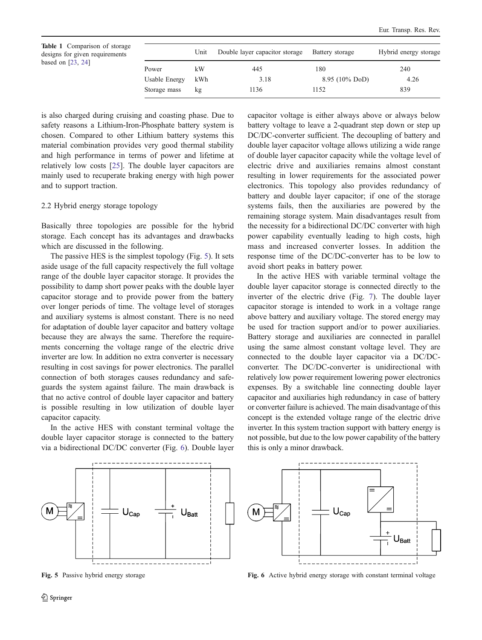| of storage<br>iirements | Unit          |     | Double layer capacitor storage | Battery storage          | Hybrid energy storage |  |
|-------------------------|---------------|-----|--------------------------------|--------------------------|-----------------------|--|
|                         | Power         | kW  | 445                            | 180                      | 240                   |  |
|                         | Usable Energy | kWh | 3.18                           | $8.95(10\% \text{ DoD})$ | 4.26                  |  |
|                         | Storage mass  | kg  | 1136                           | 1152                     | 839                   |  |

<span id="page-5-0"></span>Table 1 Comparison designs for given requ based on [[23](#page-12-0), [24\]](#page-12-0)

is also charged during cruising and coasting phase. Due to safety reasons a Lithium-Iron-Phosphate battery system is chosen. Compared to other Lithium battery systems this material combination provides very good thermal stability and high performance in terms of power and lifetime at relatively low costs [[25\]](#page-12-0). The double layer capacitors are mainly used to recuperate braking energy with high power and to support traction.

# 2.2 Hybrid energy storage topology

Basically three topologies are possible for the hybrid storage. Each concept has its advantages and drawbacks which are discussed in the following.

The passive HES is the simplest topology (Fig. 5). It sets aside usage of the full capacity respectively the full voltage range of the double layer capacitor storage. It provides the possibility to damp short power peaks with the double layer capacitor storage and to provide power from the battery over longer periods of time. The voltage level of storages and auxiliary systems is almost constant. There is no need for adaptation of double layer capacitor and battery voltage because they are always the same. Therefore the requirements concerning the voltage range of the electric drive inverter are low. In addition no extra converter is necessary resulting in cost savings for power electronics. The parallel connection of both storages causes redundancy and safeguards the system against failure. The main drawback is that no active control of double layer capacitor and battery is possible resulting in low utilization of double layer capacitor capacity.

In the active HES with constant terminal voltage the double layer capacitor storage is connected to the battery via a bidirectional DC/DC converter (Fig. 6). Double layer capacitor voltage is either always above or always below battery voltage to leave a 2-quadrant step down or step up DC/DC-converter sufficient. The decoupling of battery and double layer capacitor voltage allows utilizing a wide range of double layer capacitor capacity while the voltage level of electric drive and auxiliaries remains almost constant resulting in lower requirements for the associated power electronics. This topology also provides redundancy of battery and double layer capacitor; if one of the storage systems fails, then the auxiliaries are powered by the remaining storage system. Main disadvantages result from the necessity for a bidirectional DC/DC converter with high power capability eventually leading to high costs, high mass and increased converter losses. In addition the response time of the DC/DC-converter has to be low to avoid short peaks in battery power.

In the active HES with variable terminal voltage the double layer capacitor storage is connected directly to the inverter of the electric drive (Fig. [7\)](#page-6-0). The double layer capacitor storage is intended to work in a voltage range above battery and auxiliary voltage. The stored energy may be used for traction support and/or to power auxiliaries. Battery storage and auxiliaries are connected in parallel using the same almost constant voltage level. They are connected to the double layer capacitor via a DC/DCconverter. The DC/DC-converter is unidirectional with relatively low power requirement lowering power electronics expenses. By a switchable line connecting double layer capacitor and auxiliaries high redundancy in case of battery or converter failure is achieved. The main disadvantage of this concept is the extended voltage range of the electric drive inverter. In this system traction support with battery energy is not possible, but due to the low power capability of the battery this is only a minor drawback.





Fig. 5 Passive hybrid energy storage Fig. 6 Active hybrid energy storage with constant terminal voltage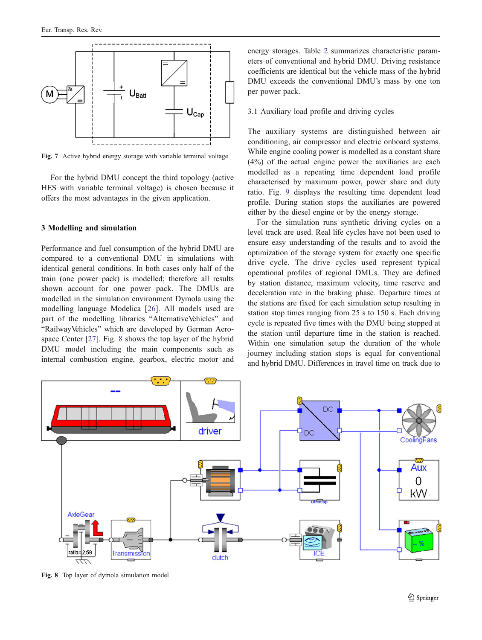<span id="page-6-0"></span>

Fig. 7 Active hybrid energy storage with variable terminal voltage

For the hybrid DMU concept the third topology (active HES with variable terminal voltage) is chosen because it offers the most advantages in the given application.

#### 3 Modelling and simulation

Performance and fuel consumption of the hybrid DMU are compared to a conventional DMU in simulations with identical general conditions. In both cases only half of the train (one power pack) is modelled; therefore all results shown account for one power pack. The DMUs are modelled in the simulation environment Dymola using the modelling language Modelica [\[26](#page-12-0)]. All models used are part of the modelling libraries "AlternativeVehicles" and "RailwayVehicles" which are developed by German Aerospace Center [[27\]](#page-12-0). Fig. 8 shows the top layer of the hybrid DMU model including the main components such as internal combustion engine, gearbox, electric motor and

energy storages. Table [2](#page-7-0) summarizes characteristic parameters of conventional and hybrid DMU. Driving resistance coefficients are identical but the vehicle mass of the hybrid DMU exceeds the conventional DMU's mass by one ton per power pack.

# 3.1 Auxiliary load profile and driving cycles

The auxiliary systems are distinguished between air conditioning, air compressor and electric onboard systems. While engine cooling power is modelled as a constant share (4%) of the actual engine power the auxiliaries are each modelled as a repeating time dependent load profile characterised by maximum power, power share and duty ratio. Fig. [9](#page-7-0) displays the resulting time dependent load profile. During station stops the auxiliaries are powered either by the diesel engine or by the energy storage.

For the simulation runs synthetic driving cycles on a level track are used. Real life cycles have not been used to ensure easy understanding of the results and to avoid the optimization of the storage system for exactly one specific drive cycle. The drive cycles used represent typical operational profiles of regional DMUs. They are defined by station distance, maximum velocity, time reserve and deceleration rate in the braking phase. Departure times at the stations are fixed for each simulation setup resulting in station stop times ranging from 25 s to 150 s. Each driving cycle is repeated five times with the DMU being stopped at the station until departure time in the station is reached. Within one simulation setup the duration of the whole journey including station stops is equal for conventional and hybrid DMU. Differences in travel time on track due to



Fig. 8 Top layer of dymola simulation model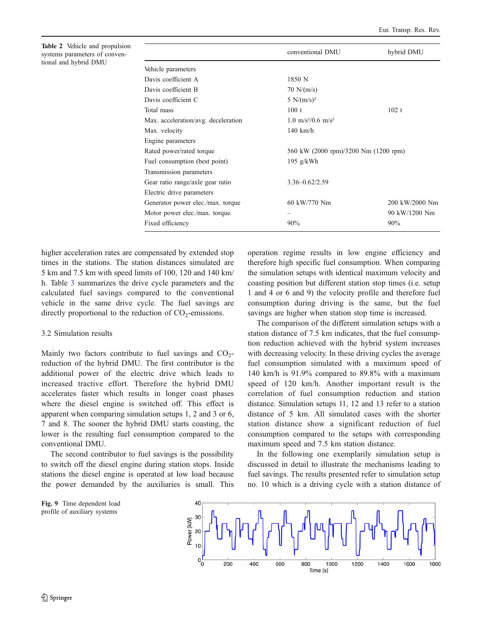|                                     | conventional DMU                      | hybrid DMU     |  |  |  |
|-------------------------------------|---------------------------------------|----------------|--|--|--|
| Vehicle parameters                  |                                       |                |  |  |  |
| Davis coefficient A                 | 1850 N                                |                |  |  |  |
| Davis coefficient B                 | $70 \text{ N/(m/s)}$                  |                |  |  |  |
| Davis coefficient C                 | 5 $N/(m/s)^2$                         |                |  |  |  |
| Total mass                          | 100 <sub>t</sub>                      | 102 t          |  |  |  |
| Max. acceleration/avg. deceleration | $1.0 \text{ m/s}^2/0.6 \text{ m/s}^2$ |                |  |  |  |
| Max. velocity                       | $140$ km/h                            |                |  |  |  |
| Engine parameters                   |                                       |                |  |  |  |
| Rated power/rated torque            | 560 kW (2000 rpm)/3200 Nm (1200 rpm)  |                |  |  |  |
| Fuel consumption (best point)       | 195 $g/kWh$                           |                |  |  |  |
| Transmission parameters             |                                       |                |  |  |  |
| Gear ratio range/axle gear ratio    | $3.36 - 0.62/2.59$                    |                |  |  |  |
| Electric drive parameters           |                                       |                |  |  |  |
| Generator power elec./max. torque   | 60 kW/770 Nm                          | 200 kW/2000 Nm |  |  |  |
| Motor power elec./max. torque       |                                       | 90 kW/1200 Nm  |  |  |  |
| Fixed efficiency                    | 90%                                   | 90%            |  |  |  |

<span id="page-7-0"></span>Table 2 Vehicle and propulsion systems parameters of conventional and hybrid DMU

higher acceleration rates are compensated by extended stop times in the stations. The station distances simulated are 5 km and 7.5 km with speed limits of 100, 120 and 140 km/ h. Table [3](#page-8-0) summarizes the drive cycle parameters and the calculated fuel savings compared to the conventional vehicle in the same drive cycle. The fuel savings are directly proportional to the reduction of  $CO<sub>2</sub>$ -emissions.

#### 3.2 Simulation results

Fig. 9 Time dependent load profile of auxiliary systems

Mainly two factors contribute to fuel savings and  $CO<sub>2</sub>$ reduction of the hybrid DMU. The first contributor is the additional power of the electric drive which leads to increased tractive effort. Therefore the hybrid DMU accelerates faster which results in longer coast phases where the diesel engine is switched off. This effect is apparent when comparing simulation setups 1, 2 and 3 or 6, 7 and 8. The sooner the hybrid DMU starts coasting, the lower is the resulting fuel consumption compared to the conventional DMU.

The second contributor to fuel savings is the possibility to switch off the diesel engine during station stops. Inside stations the diesel engine is operated at low load because the power demanded by the auxiliaries is small. This operation regime results in low engine efficiency and therefore high specific fuel consumption. When comparing the simulation setups with identical maximum velocity and coasting position but different station stop times (i.e. setup 1 and 4 or 6 and 9) the velocity profile and therefore fuel consumption during driving is the same, but the fuel savings are higher when station stop time is increased.

The comparison of the different simulation setups with a station distance of 7.5 km indicates, that the fuel consumption reduction achieved with the hybrid system increases with decreasing velocity. In these driving cycles the average fuel consumption simulated with a maximum speed of 140 km/h is 91.9% compared to 89.8% with a maximum speed of 120 km/h. Another important result is the correlation of fuel consumption reduction and station distance. Simulation setups 11, 12 and 13 refer to a station distance of 5 km. All simulated cases with the shorter station distance show a significant reduction of fuel consumption compared to the setups with corresponding maximum speed and 7.5 km station distance.

In the following one exemplarily simulation setup is discussed in detail to illustrate the mechanisms leading to fuel savings. The results presented refer to simulation setup no. 10 which is a driving cycle with a station distance of

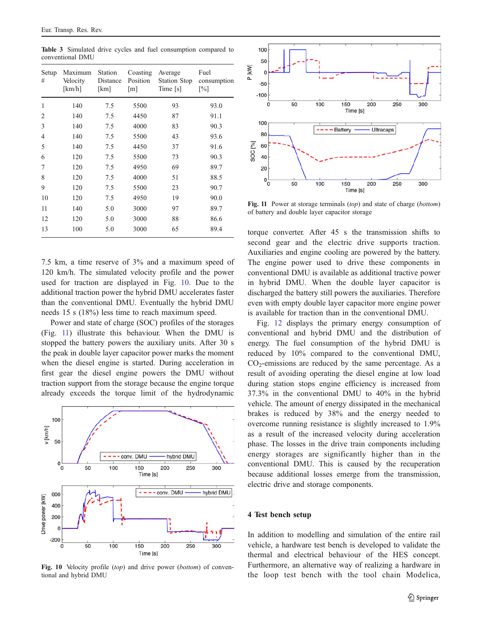<span id="page-8-0"></span>Table 3 Simulated drive cycles and fuel consumption compared to conventional DMU

| Setup<br># | Maximum<br>Velocity<br>[km/h] | Station<br>Distance<br>[km] | Coasting<br>Position<br>$\lceil m \rceil$ | Average<br>Station Stop<br>Time $[s]$ | Fuel<br>consumption<br>$\lceil\% \rceil$ |
|------------|-------------------------------|-----------------------------|-------------------------------------------|---------------------------------------|------------------------------------------|
| 1          | 140                           | 7.5                         | 5500                                      | 93                                    | 93.0                                     |
| 2          | 140                           | 7.5                         | 4450                                      | 87                                    | 91.1                                     |
| 3          | 140                           | 7.5                         | 4000                                      | 83                                    | 90.3                                     |
| 4          | 140                           | 7.5                         | 5500                                      | 43                                    | 93.6                                     |
| 5          | 140                           | 7.5                         | 4450                                      | 37                                    | 91.6                                     |
| 6          | 120                           | 7.5                         | 5500                                      | 73                                    | 90.3                                     |
| 7          | 120                           | 7.5                         | 4950                                      | 69                                    | 89.7                                     |
| 8          | 120                           | 7.5                         | 4000                                      | 51                                    | 88.5                                     |
| 9          | 120                           | 7.5                         | 5500                                      | 23                                    | 90.7                                     |
| 10         | 120                           | 7.5                         | 4950                                      | 19                                    | 90.0                                     |
| 11         | 140                           | 5.0                         | 3000                                      | 97                                    | 89.7                                     |
| 12         | 120                           | 5.0                         | 3000                                      | 88                                    | 86.6                                     |
| 13         | 100                           | 5.0                         | 3000                                      | 65                                    | 89.4                                     |

7.5 km, a time reserve of 3% and a maximum speed of 120 km/h. The simulated velocity profile and the power used for traction are displayed in Fig. 10. Due to the additional traction power the hybrid DMU accelerates faster than the conventional DMU. Eventually the hybrid DMU needs 15 s (18%) less time to reach maximum speed.

Power and state of charge (SOC) profiles of the storages (Fig. 11) illustrate this behaviour. When the DMU is stopped the battery powers the auxiliary units. After 30 s the peak in double layer capacitor power marks the moment when the diesel engine is started. During acceleration in first gear the diesel engine powers the DMU without traction support from the storage because the engine torque already exceeds the torque limit of the hydrodynamic



Fig. 10 Velocity profile (top) and drive power (bottom) of conventional and hybrid DMU



Fig. 11 Power at storage terminals (top) and state of charge (bottom) of battery and double layer capacitor storage

torque converter. After 45 s the transmission shifts to second gear and the electric drive supports traction. Auxiliaries and engine cooling are powered by the battery. The engine power used to drive these components in conventional DMU is available as additional tractive power in hybrid DMU. When the double layer capacitor is discharged the battery still powers the auxiliaries. Therefore even with empty double layer capacitor more engine power is available for traction than in the conventional DMU.

Fig. [12](#page-9-0) displays the primary energy consumption of conventional and hybrid DMU and the distribution of energy. The fuel consumption of the hybrid DMU is reduced by 10% compared to the conventional DMU,  $CO<sub>2</sub>$ -emissions are reduced by the same percentage. As a result of avoiding operating the diesel engine at low load during station stops engine efficiency is increased from 37.3% in the conventional DMU to 40% in the hybrid vehicle. The amount of energy dissipated in the mechanical brakes is reduced by 38% and the energy needed to overcome running resistance is slightly increased to 1.9% as a result of the increased velocity during acceleration phase. The losses in the drive train components including energy storages are significantly higher than in the conventional DMU. This is caused by the recuperation because additional losses emerge from the transmission, electric drive and storage components.

#### 4 Test bench setup

In addition to modelling and simulation of the entire rail vehicle, a hardware test bench is developed to validate the thermal and electrical behaviour of the HES concept. Furthermore, an alternative way of realizing a hardware in the loop test bench with the tool chain Modelica,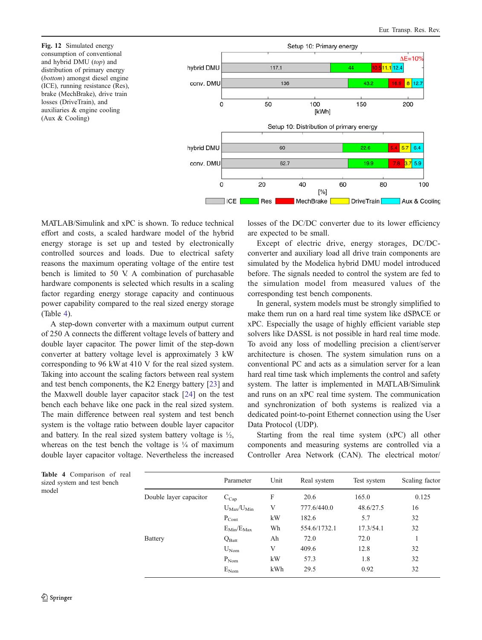<span id="page-9-0"></span>Fig. 12 Simulated energy consumption of conventional and hybrid DMU (top) and distribution of primary energy (bottom) amongst diesel engine (ICE), running resistance (Res), brake (MechBrake), drive train losses (DriveTrain), and auxiliaries & engine cooling (Aux & Cooling)



MATLAB/Simulink and xPC is shown. To reduce technical effort and costs, a scaled hardware model of the hybrid energy storage is set up and tested by electronically controlled sources and loads. Due to electrical safety reasons the maximum operating voltage of the entire test bench is limited to 50 V. A combination of purchasable hardware components is selected which results in a scaling factor regarding energy storage capacity and continuous power capability compared to the real sized energy storage (Table 4).

A step-down converter with a maximum output current of 250 A connects the different voltage levels of battery and double layer capacitor. The power limit of the step-down converter at battery voltage level is approximately 3 kW corresponding to 96 kW at 410 V for the real sized system. Taking into account the scaling factors between real system and test bench components, the K2 Energy battery [[23\]](#page-12-0) and the Maxwell double layer capacitor stack [\[24](#page-12-0)] on the test bench each behave like one pack in the real sized system. The main difference between real system and test bench system is the voltage ratio between double layer capacitor and battery. In the real sized system battery voltage is  $\frac{1}{2}$ , whereas on the test bench the voltage is  $\frac{1}{4}$  of maximum double layer capacitor voltage. Nevertheless the increased losses of the DC/DC converter due to its lower efficiency are expected to be small.

Except of electric drive, energy storages, DC/DCconverter and auxiliary load all drive train components are simulated by the Modelica hybrid DMU model introduced before. The signals needed to control the system are fed to the simulation model from measured values of the corresponding test bench components.

In general, system models must be strongly simplified to make them run on a hard real time system like dSPACE or xPC. Especially the usage of highly efficient variable step solvers like DASSL is not possible in hard real time mode. To avoid any loss of modelling precision a client/server architecture is chosen. The system simulation runs on a conventional PC and acts as a simulation server for a lean hard real time task which implements the control and safety system. The latter is implemented in MATLAB/Simulink and runs on an xPC real time system. The communication and synchronization of both systems is realized via a dedicated point-to-point Ethernet connection using the User Data Protocol (UDP).

Starting from the real time system (xPC) all other components and measuring systems are controlled via a Controller Area Network (CAN). The electrical motor/

| nparison of real<br>ind test bench |                        | Parameter                       | Unit | Real system  | Test system | Scaling factor |
|------------------------------------|------------------------|---------------------------------|------|--------------|-------------|----------------|
|                                    | Double layer capacitor | $C_{Cap}$                       | F    | 20.6         | 165.0       | 0.125          |
|                                    |                        | $U_{\text{Max}}/U_{\text{Min}}$ | V    | 777.6/440.0  | 48.6/27.5   | 16             |
|                                    |                        | $P_{\text{Cont}}$               | kW   | 182.6        | 5.7         | 32             |
|                                    |                        | $E_{\text{Min}}/E_{\text{Max}}$ | Wh   | 554.6/1732.1 | 17.3/54.1   | 32             |
|                                    | Battery                | $Q_{\text{Batt}}$               | Ah   | 72.0         | 72.0        |                |
|                                    |                        | $U_{\text{Nom}}$                | V    | 409.6        | 12.8        | 32             |
|                                    |                        | $P_{\text{Nom}}$                | kW   | 57.3         | 1.8         | 32             |
|                                    |                        | $E_{\text{Nom}}$                | kWh  | 29.5         | 0.92        | 32             |
|                                    |                        |                                 |      |              |             |                |

Table 4 Com sized system a model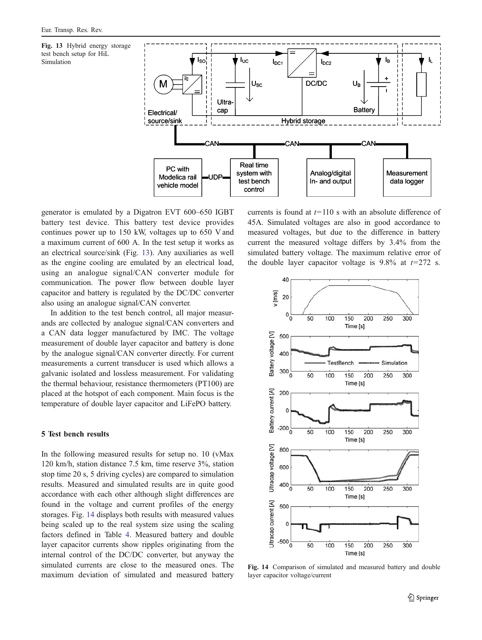



generator is emulated by a Digatron EVT 600–650 IGBT battery test device. This battery test device provides continues power up to 150 kW, voltages up to 650 V and a maximum current of 600 A. In the test setup it works as an electrical source/sink (Fig. 13). Any auxiliaries as well as the engine cooling are emulated by an electrical load, using an analogue signal/CAN converter module for communication. The power flow between double layer capacitor and battery is regulated by the DC/DC converter also using an analogue signal/CAN converter.

In addition to the test bench control, all major measurands are collected by analogue signal/CAN converters and a CAN data logger manufactured by IMC. The voltage measurement of double layer capacitor and battery is done by the analogue signal/CAN converter directly. For current measurements a current transducer is used which allows a galvanic isolated and lossless measurement. For validating the thermal behaviour, resistance thermometers (PT100) are placed at the hotspot of each component. Main focus is the temperature of double layer capacitor and LiFePO battery.

# 5 Test bench results

In the following measured results for setup no. 10 (vMax 120 km/h, station distance 7.5 km, time reserve 3%, station stop time 20 s, 5 driving cycles) are compared to simulation results. Measured and simulated results are in quite good accordance with each other although slight differences are found in the voltage and current profiles of the energy storages. Fig. 14 displays both results with measured values being scaled up to the real system size using the scaling factors defined in Table [4](#page-9-0). Measured battery and double layer capacitor currents show ripples originating from the internal control of the DC/DC converter, but anyway the simulated currents are close to the measured ones. The maximum deviation of simulated and measured battery

currents is found at  $t=110$  s with an absolute difference of 45A. Simulated voltages are also in good accordance to measured voltages, but due to the difference in battery current the measured voltage differs by 3.4% from the simulated battery voltage. The maximum relative error of the double layer capacitor voltage is  $9.8\%$  at  $t=272$  s.



Fig. 14 Comparison of simulated and measured battery and double layer capacitor voltage/current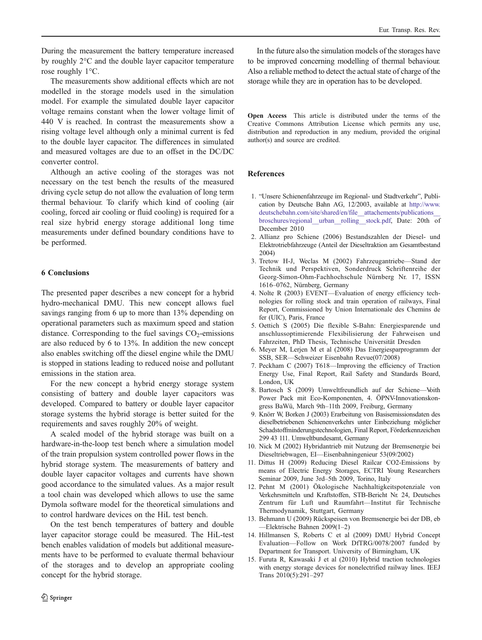<span id="page-11-0"></span>During the measurement the battery temperature increased by roughly 2°C and the double layer capacitor temperature rose roughly 1°C.

The measurements show additional effects which are not modelled in the storage models used in the simulation model. For example the simulated double layer capacitor voltage remains constant when the lower voltage limit of 440 V is reached. In contrast the measurements show a rising voltage level although only a minimal current is fed to the double layer capacitor. The differences in simulated and measured voltages are due to an offset in the DC/DC converter control.

Although an active cooling of the storages was not necessary on the test bench the results of the measured driving cycle setup do not allow the evaluation of long term thermal behaviour. To clarify which kind of cooling (air cooling, forced air cooling or fluid cooling) is required for a real size hybrid energy storage additional long time measurements under defined boundary conditions have to be performed.

# 6 Conclusions

The presented paper describes a new concept for a hybrid hydro-mechanical DMU. This new concept allows fuel savings ranging from 6 up to more than 13% depending on operational parameters such as maximum speed and station distance. Corresponding to the fuel savings  $CO<sub>2</sub>$ -emissions are also reduced by 6 to 13%. In addition the new concept also enables switching off the diesel engine while the DMU is stopped in stations leading to reduced noise and pollutant emissions in the station area.

For the new concept a hybrid energy storage system consisting of battery and double layer capacitors was developed. Compared to battery or double layer capacitor storage systems the hybrid storage is better suited for the requirements and saves roughly 20% of weight.

A scaled model of the hybrid storage was built on a hardware-in-the-loop test bench where a simulation model of the train propulsion system controlled power flows in the hybrid storage system. The measurements of battery and double layer capacitor voltages and currents have shown good accordance to the simulated values. As a major result a tool chain was developed which allows to use the same Dymola software model for the theoretical simulations and to control hardware devices on the HiL test bench.

On the test bench temperatures of battery and double layer capacitor storage could be measured. The HiL-test bench enables validation of models but additional measurements have to be performed to evaluate thermal behaviour of the storages and to develop an appropriate cooling concept for the hybrid storage.

In the future also the simulation models of the storages have to be improved concerning modelling of thermal behaviour. Also a reliable method to detect the actual state of charge of the storage while they are in operation has to be developed.

Open Access This article is distributed under the terms of the Creative Commons Attribution License which permits any use, distribution and reproduction in any medium, provided the original author(s) and source are credited.

### References

- 1. "Unsere Schienenfahrzeuge im Regional- und Stadtverkehr", Publication by Deutsche Bahn AG, 12/2003, available at [http://www.](http://www.deutschebahn.com/site/shared/en/file__attachements/publications__broschures/regional__urban__rolling__stock.pdf) deutschebahn.com/site/shared/en/file\_attachements/publications [broschures/regional\\_\\_urban\\_\\_rolling\\_\\_stock.pdf](http://www.deutschebahn.com/site/shared/en/file__attachements/publications__broschures/regional__urban__rolling__stock.pdf), Date: 20th of December 2010
- 2. Allianz pro Schiene (2006) Bestandszahlen der Diesel- und Elektrotriebfahrzeuge (Anteil der Dieseltraktion am Gesamtbestand 2004)
- 3. Tretow H-J, Weclas M (2002) Fahrzeugantriebe—Stand der Technik und Perspektiven, Sonderdruck Schriftenreihe der Georg-Simon-Ohm-Fachhochschule Nürnberg Nr. 17, ISSN 1616–0762, Nürnberg, Germany
- 4. Nolte R (2003) EVENT—Evaluation of energy efficiency technologies for rolling stock and train operation of railways, Final Report, Commissioned by Union Internationale des Chemins de fer (UIC), Paris, France
- 5. Oettich S (2005) Die flexible S-Bahn: Energiesparende und anschlussoptimierende Flexibilisierung der Fahrweisen und Fahrzeiten, PhD Thesis, Technische Universität Dresden
- 6. Meyer M, Lerjen M et al (2008) Das Energiesparprogramm der SSB, SER—Schweizer Eisenbahn Revue(07/2008)
- 7. Peckham C (2007) T618—Improving the efficiency of Traction Energy Use, Final Report, Rail Safety and Standards Board, London, UK
- 8. Bartosch S (2009) Umweltfreundlich auf der Schiene—Voith Power Pack mit Eco-Komponenten, 4. ÖPNV-Innovationskongress BaWü, March 9th–11th 2009, Freiburg, Germany
- 9. Knörr W, Borken J (2003) Erarbeitung von Basisemissionsdaten des dieselbetriebenen Schienenverkehrs unter Einbeziehung möglicher Schadstoffminderungstechnologien, Final Report, Förderkennzeichen 299 43 111. Umweltbundesamt, Germany
- 10. Nick M (2002) Hybridantrieb mit Nutzung der Bremsenergie bei Dieseltriebwagen, EI—Eisenbahningenieur 53(09/2002)
- 11. Dittus H (2009) Reducing Diesel Railcar CO2-Emissions by means of Electric Energy Storages, ECTRI Young Researchers Seminar 2009, June 3rd–5th 2009, Torino, Italy
- 12. Pehnt M (2001) Ökologische Nachhaltigkeitspotenziale von Verkehrsmitteln und Kraftstoffen, STB-Bericht Nr. 24, Deutsches Zentrum für Luft und Raumfahrt—Institut für Technische Thermodynamik, Stuttgart, Germany
- 13. Behmann U (2009) Rückspeisen von Bremsenergie bei der DB, eb —Elektrische Bahnen 2009(1–2)
- 14. Hillmansen S, Roberts C et al (2009) DMU Hybrid Concept Evaluation—Follow on Work DfTRG/0078/2007 funded by Department for Transport. University of Birmingham, UK
- 15. Furuta R, Kawasaki J et al (2010) Hybrid traction technologies with energy storage devices for nonelectrified railway lines. IEEJ Trans 2010(5):291–297